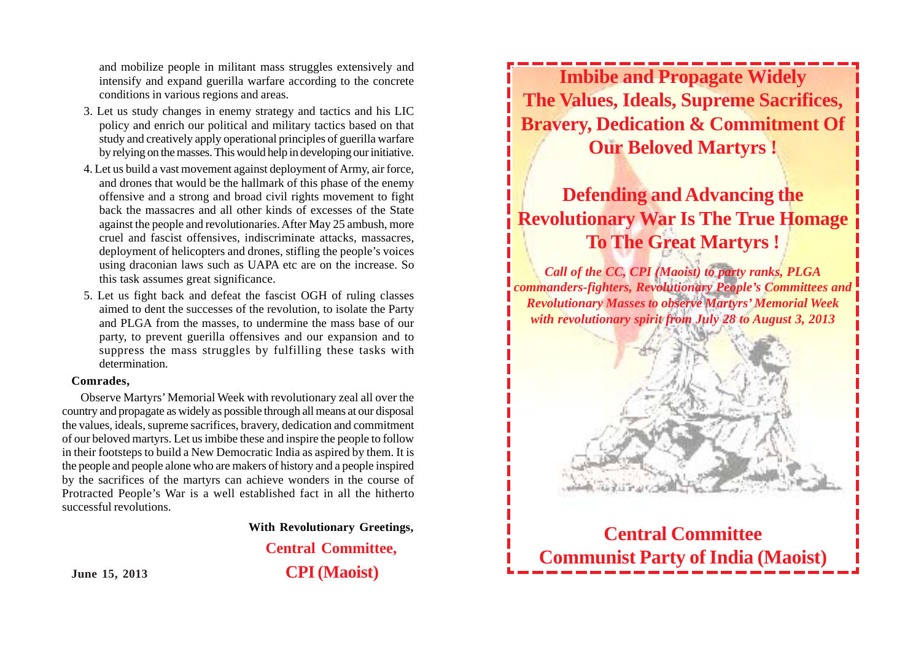and mobilize people in militant mass struggles extensively and intensify and expand guerilla warfare according to the concrete conditions in various regions and areas.

- 3. Let us study changes in enemy strategy and tactics and his LIC policy and enrich our political and military tactics based on that study and creatively apply operational principles of guerilla warfare by relying on the masses. This would help in developing our initiative.
- 4. Let us build a vast movement against deployment of Army, air force, and drones that would be the hallmark of this phase of the enemy offensive and a strong and broad civil rights movement to fight back the massacres and all other kinds of excesses of the State against the people and revolutionaries. After May 25 ambush, more cruel and fascist offensives, indiscriminate attacks, massacres, deployment of helicopters and drones, stifling the people's voices using draconian laws such as UAPA etc are on the increase. So this task assumes great significance.
- 5. Let us fight back and defeat the fascist OGH of ruling classes aimed to dent the successes of the revolution, to isolate the Party and PLGA from the masses, to undermine the mass base of our party, to prevent guerilla offensives and our expansion and to suppress the mass struggles by fulfilling these tasks with determination.

#### **Comrades,**

Observe Martyrs' Memorial Week with revolutionary zeal all over the country and propagate as widely as possible through all means at our disposal the values, ideals, supreme sacrifices, bravery, dedication and commitment of our beloved martyrs. Let us imbibe these and inspire the people to follow in their footsteps to build a New Democratic India as aspired by them. It is the people and people alone who are makers of history and a people inspired by the sacrifices of the martyrs can achieve wonders in the course of Protracted People's War is a well established fact in all the hitherto successful revolutions.

**With Revolutionary Greetings,**

**Central Committee, June 15, 2013 CPI (Maoist)**

**Imbibe and Propagate Widely The Values, Ideals, Supreme Sacrifices, Bravery, Dedication & Commitment Of Our Beloved Martyrs !**

# **Defending and Advancing the Revolutionary War Is The True Homage To The Great Martyrs !**

*Call of the CC, CPI (Maoist) to party ranks, PLGA commanders-fighters, Revolutionary People's Committees and Revolutionary Masses to observe Martyrs' Memorial Week with revolutionary spirit from July 28 to August 3, 2013*



**Central Committee Communist Party of India (Maoist)**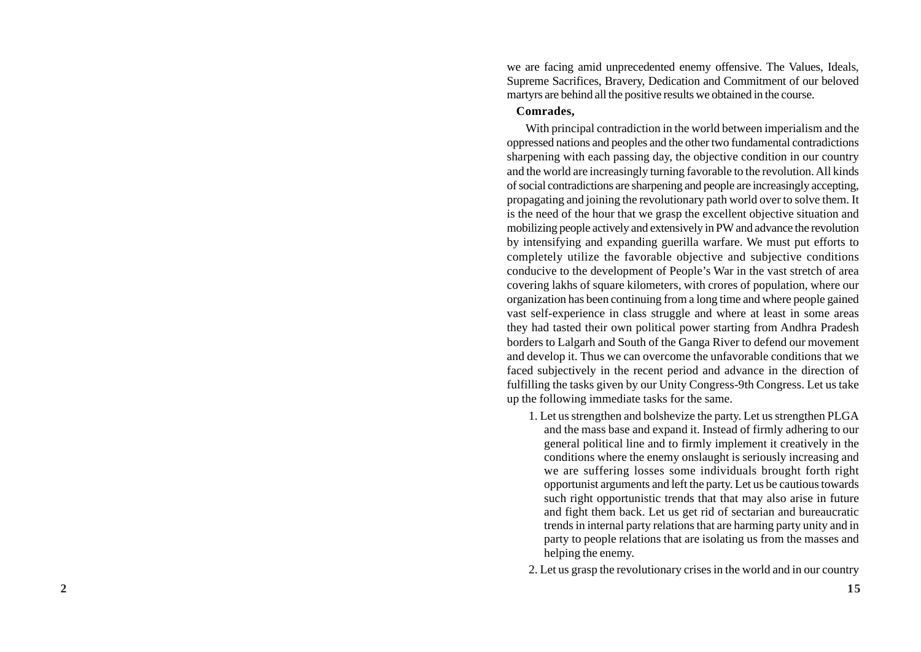we are facing amid unprecedented enemy offensive. The Values, Ideals, Supreme Sacrifices, Bravery, Dedication and Commitment of our beloved martyrs are behind all the positive results we obtained in the course.

#### **Comrades,**

With principal contradiction in the world between imperialism and the oppressed nations and peoples and the other two fundamental contradictions sharpening with each passing day, the objective condition in our country and the world are increasingly turning favorable to the revolution. All kinds of social contradictions are sharpening and people are increasingly accepting, propagating and joining the revolutionary path world over to solve them. It is the need of the hour that we grasp the excellent objective situation and mobilizing people actively and extensively in PW and advance the revolution by intensifying and expanding guerilla warfare. We must put efforts to completely utilize the favorable objective and subjective conditions conducive to the development of People's War in the vast stretch of area covering lakhs of square kilometers, with crores of population, where our organization has been continuing from a long time and where people gained vast self-experience in class struggle and where at least in some areas they had tasted their own political power starting from Andhra Pradesh borders to Lalgarh and South of the Ganga River to defend our movement and develop it. Thus we can overcome the unfavorable conditions that we faced subjectively in the recent period and advance in the direction of fulfilling the tasks given by our Unity Congress-9th Congress. Let us take up the following immediate tasks for the same.

- 1. Let us strengthen and bolshevize the party. Let us strengthen PLGA and the mass base and expand it. Instead of firmly adhering to our general political line and to firmly implement it creatively in the conditions where the enemy onslaught is seriously increasing and we are suffering losses some individuals brought forth right opportunist arguments and left the party. Let us be cautious towards such right opportunistic trends that that may also arise in future and fight them back. Let us get rid of sectarian and bureaucratic trends in internal party relations that are harming party unity and in party to people relations that are isolating us from the masses and helping the enemy.
- 2. Let us grasp the revolutionary crises in the world and in our country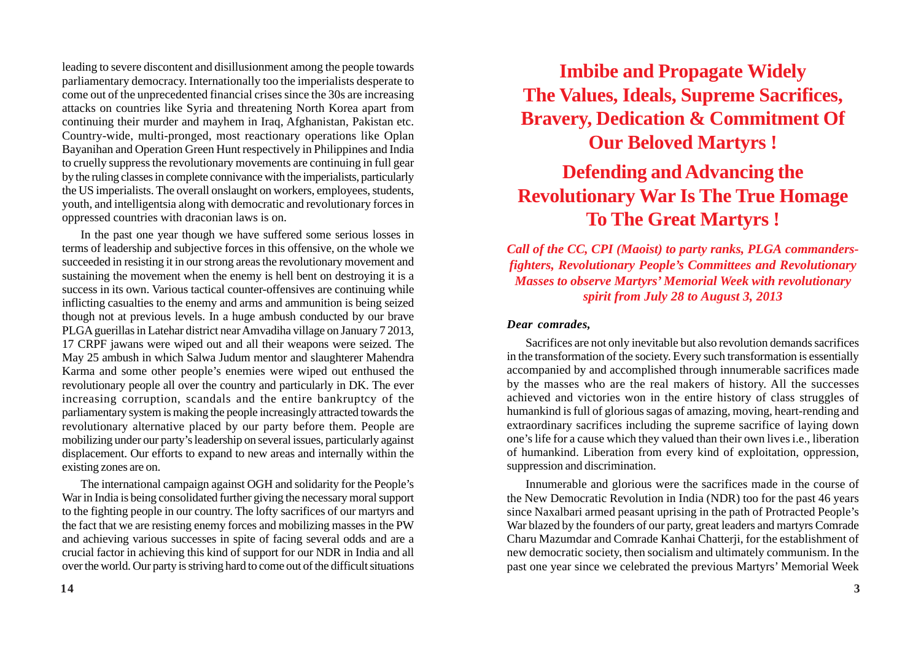leading to severe discontent and disillusionment among the people towards parliamentary democracy. Internationally too the imperialists desperate to come out of the unprecedented financial crises since the 30s are increasing attacks on countries like Syria and threatening North Korea apart from continuing their murder and mayhem in Iraq, Afghanistan, Pakistan etc. Country-wide, multi-pronged, most reactionary operations like Oplan Bayanihan and Operation Green Hunt respectively in Philippines and India to cruelly suppress the revolutionary movements are continuing in full gear by the ruling classes in complete connivance with the imperialists, particularly the US imperialists. The overall onslaught on workers, employees, students, youth, and intelligentsia along with democratic and revolutionary forces in oppressed countries with draconian laws is on.

In the past one year though we have suffered some serious losses in terms of leadership and subjective forces in this offensive, on the whole we succeeded in resisting it in our strong areas the revolutionary movement and sustaining the movement when the enemy is hell bent on destroying it is a success in its own. Various tactical counter-offensives are continuing while inflicting casualties to the enemy and arms and ammunition is being seized though not at previous levels. In a huge ambush conducted by our brave PLGA guerillas in Latehar district near Amvadiha village on January 7 2013, 17 CRPF jawans were wiped out and all their weapons were seized. The May 25 ambush in which Salwa Judum mentor and slaughterer Mahendra Karma and some other people's enemies were wiped out enthused the revolutionary people all over the country and particularly in DK. The ever increasing corruption, scandals and the entire bankruptcy of the parliamentary system is making the people increasingly attracted towards the revolutionary alternative placed by our party before them. People are mobilizing under our party's leadership on several issues, particularly against displacement. Our efforts to expand to new areas and internally within the existing zones are on.

The international campaign against OGH and solidarity for the People's War in India is being consolidated further giving the necessary moral support to the fighting people in our country. The lofty sacrifices of our martyrs and the fact that we are resisting enemy forces and mobilizing masses in the PW and achieving various successes in spite of facing several odds and are a crucial factor in achieving this kind of support for our NDR in India and all over the world. Our party is striving hard to come out of the difficult situations

# **Imbibe and Propagate Widely The Values, Ideals, Supreme Sacrifices, Bravery, Dedication & Commitment Of Our Beloved Martyrs !**

# **Defending and Advancing the Revolutionary War Is The True Homage To The Great Martyrs !**

*Call of the CC, CPI (Maoist) to party ranks, PLGA commandersfighters, Revolutionary People's Committees and Revolutionary Masses to observe Martyrs' Memorial Week with revolutionary spirit from July 28 to August 3, 2013*

### *Dear comrades,*

Sacrifices are not only inevitable but also revolution demands sacrifices in the transformation of the society. Every such transformation is essentially accompanied by and accomplished through innumerable sacrifices made by the masses who are the real makers of history. All the successes achieved and victories won in the entire history of class struggles of humankind is full of glorious sagas of amazing, moving, heart-rending and extraordinary sacrifices including the supreme sacrifice of laying down one's life for a cause which they valued than their own lives i.e., liberation of humankind. Liberation from every kind of exploitation, oppression, suppression and discrimination.

Innumerable and glorious were the sacrifices made in the course of the New Democratic Revolution in India (NDR) too for the past 46 years since Naxalbari armed peasant uprising in the path of Protracted People's War blazed by the founders of our party, great leaders and martyrs Comrade Charu Mazumdar and Comrade Kanhai Chatterji, for the establishment of new democratic society, then socialism and ultimately communism. In the past one year since we celebrated the previous Martyrs' Memorial Week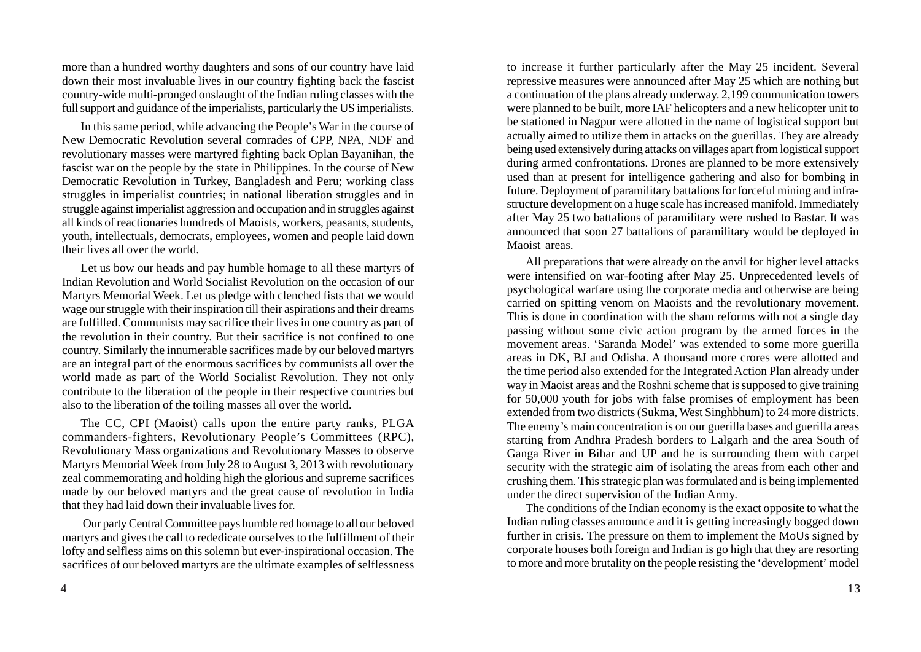more than a hundred worthy daughters and sons of our country have laid down their most invaluable lives in our country fighting back the fascist country-wide multi-pronged onslaught of the Indian ruling classes with the full support and guidance of the imperialists, particularly the US imperialists.

In this same period, while advancing the People's War in the course of New Democratic Revolution several comrades of CPP, NPA, NDF and revolutionary masses were martyred fighting back Oplan Bayanihan, the fascist war on the people by the state in Philippines. In the course of New Democratic Revolution in Turkey, Bangladesh and Peru; working class struggles in imperialist countries; in national liberation struggles and in struggle against imperialist aggression and occupation and in struggles against all kinds of reactionaries hundreds of Maoists, workers, peasants, students, youth, intellectuals, democrats, employees, women and people laid down their lives all over the world.

Let us bow our heads and pay humble homage to all these martyrs of Indian Revolution and World Socialist Revolution on the occasion of our Martyrs Memorial Week. Let us pledge with clenched fists that we would wage our struggle with their inspiration till their aspirations and their dreams are fulfilled. Communists may sacrifice their lives in one country as part of the revolution in their country. But their sacrifice is not confined to one country. Similarly the innumerable sacrifices made by our beloved martyrs are an integral part of the enormous sacrifices by communists all over the world made as part of the World Socialist Revolution. They not only contribute to the liberation of the people in their respective countries but also to the liberation of the toiling masses all over the world.

The CC, CPI (Maoist) calls upon the entire party ranks, PLGA commanders-fighters, Revolutionary People's Committees (RPC), Revolutionary Mass organizations and Revolutionary Masses to observe Martyrs Memorial Week from July 28 to August 3, 2013 with revolutionary zeal commemorating and holding high the glorious and supreme sacrifices made by our beloved martyrs and the great cause of revolution in India that they had laid down their invaluable lives for.

 Our party Central Committee pays humble red homage to all our beloved martyrs and gives the call to rededicate ourselves to the fulfillment of their lofty and selfless aims on this solemn but ever-inspirational occasion. The sacrifices of our beloved martyrs are the ultimate examples of selflessness

to increase it further particularly after the May 25 incident. Several repressive measures were announced after May 25 which are nothing but a continuation of the plans already underway. 2,199 communication towers were planned to be built, more IAF helicopters and a new helicopter unit to be stationed in Nagpur were allotted in the name of logistical support but actually aimed to utilize them in attacks on the guerillas. They are already being used extensively during attacks on villages apart from logistical support during armed confrontations. Drones are planned to be more extensively used than at present for intelligence gathering and also for bombing in future. Deployment of paramilitary battalions for forceful mining and infrastructure development on a huge scale has increased manifold. Immediately after May 25 two battalions of paramilitary were rushed to Bastar. It was announced that soon 27 battalions of paramilitary would be deployed in Maoist areas.

All preparations that were already on the anvil for higher level attacks were intensified on war-footing after May 25. Unprecedented levels of psychological warfare using the corporate media and otherwise are being carried on spitting venom on Maoists and the revolutionary movement. This is done in coordination with the sham reforms with not a single day passing without some civic action program by the armed forces in the movement areas. 'Saranda Model' was extended to some more guerilla areas in DK, BJ and Odisha. A thousand more crores were allotted and the time period also extended for the Integrated Action Plan already under way in Maoist areas and the Roshni scheme that is supposed to give training for 50,000 youth for jobs with false promises of employment has been extended from two districts (Sukma, West Singhbhum) to 24 more districts. The enemy's main concentration is on our guerilla bases and guerilla areas starting from Andhra Pradesh borders to Lalgarh and the area South of Ganga River in Bihar and UP and he is surrounding them with carpet security with the strategic aim of isolating the areas from each other and crushing them. This strategic plan was formulated and is being implemented under the direct supervision of the Indian Army.

The conditions of the Indian economy is the exact opposite to what the Indian ruling classes announce and it is getting increasingly bogged down further in crisis. The pressure on them to implement the MoUs signed by corporate houses both foreign and Indian is go high that they are resorting to more and more brutality on the people resisting the 'development' model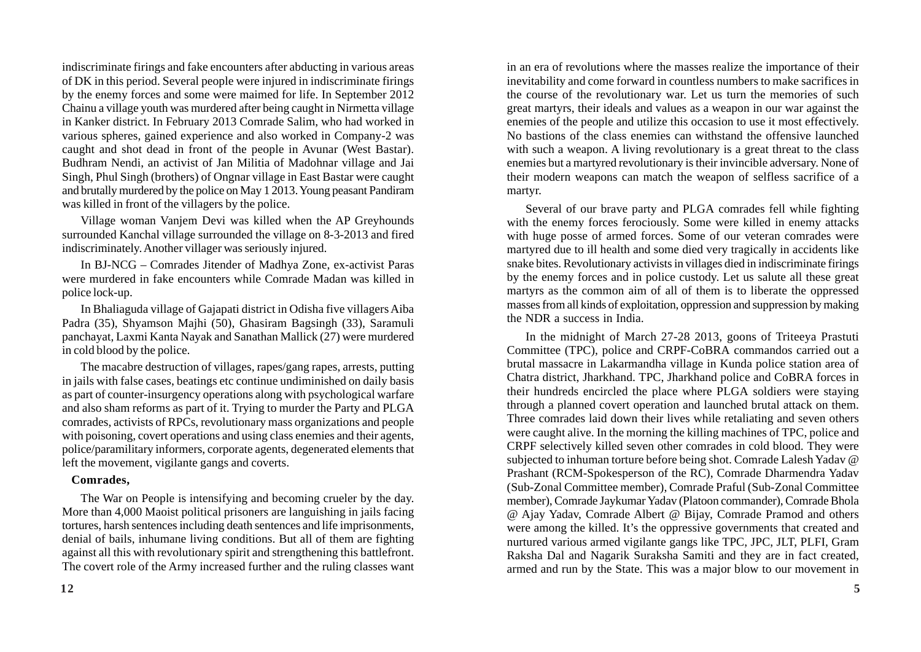indiscriminate firings and fake encounters after abducting in various areas of DK in this period. Several people were injured in indiscriminate firings by the enemy forces and some were maimed for life. In September 2012 Chainu a village youth was murdered after being caught in Nirmetta village in Kanker district. In February 2013 Comrade Salim, who had worked in various spheres, gained experience and also worked in Company-2 was caught and shot dead in front of the people in Avunar (West Bastar). Budhram Nendi, an activist of Jan Militia of Madohnar village and Jai Singh, Phul Singh (brothers) of Ongnar village in East Bastar were caught and brutally murdered by the police on May 1 2013. Young peasant Pandiram was killed in front of the villagers by the police.

Village woman Vanjem Devi was killed when the AP Greyhounds surrounded Kanchal village surrounded the village on 8-3-2013 and fired indiscriminately. Another villager was seriously injured.

In BJ-NCG – Comrades Jitender of Madhya Zone, ex-activist Paras were murdered in fake encounters while Comrade Madan was killed in police lock-up.

In Bhaliaguda village of Gajapati district in Odisha five villagers Aiba Padra (35), Shyamson Majhi (50), Ghasiram Bagsingh (33), Saramuli panchayat, Laxmi Kanta Nayak and Sanathan Mallick (27) were murdered in cold blood by the police.

The macabre destruction of villages, rapes/gang rapes, arrests, putting in jails with false cases, beatings etc continue undiminished on daily basis as part of counter-insurgency operations along with psychological warfare and also sham reforms as part of it. Trying to murder the Party and PLGA comrades, activists of RPCs, revolutionary mass organizations and people with poisoning, covert operations and using class enemies and their agents, police/paramilitary informers, corporate agents, degenerated elements that left the movement, vigilante gangs and coverts.

### **Comrades,**

The War on People is intensifying and becoming crueler by the day. More than 4,000 Maoist political prisoners are languishing in jails facing tortures, harsh sentences including death sentences and life imprisonments, denial of bails, inhumane living conditions. But all of them are fighting against all this with revolutionary spirit and strengthening this battlefront. The covert role of the Army increased further and the ruling classes want in an era of revolutions where the masses realize the importance of their inevitability and come forward in countless numbers to make sacrifices in the course of the revolutionary war. Let us turn the memories of such great martyrs, their ideals and values as a weapon in our war against the enemies of the people and utilize this occasion to use it most effectively. No bastions of the class enemies can withstand the offensive launched with such a weapon. A living revolutionary is a great threat to the class enemies but a martyred revolutionary is their invincible adversary. None of their modern weapons can match the weapon of selfless sacrifice of a martyr.

Several of our brave party and PLGA comrades fell while fighting with the enemy forces ferociously. Some were killed in enemy attacks with huge posse of armed forces. Some of our veteran comrades were martyred due to ill health and some died very tragically in accidents like snake bites. Revolutionary activists in villages died in indiscriminate firings by the enemy forces and in police custody. Let us salute all these great martyrs as the common aim of all of them is to liberate the oppressed masses from all kinds of exploitation, oppression and suppression by making the NDR a success in India.

In the midnight of March 27-28 2013, goons of Triteeya Prastuti Committee (TPC), police and CRPF-CoBRA commandos carried out a brutal massacre in Lakarmandha village in Kunda police station area of Chatra district, Jharkhand. TPC, Jharkhand police and CoBRA forces in their hundreds encircled the place where PLGA soldiers were staying through a planned covert operation and launched brutal attack on them. Three comrades laid down their lives while retaliating and seven others were caught alive. In the morning the killing machines of TPC, police and CRPF selectively killed seven other comrades in cold blood. They were subjected to inhuman torture before being shot. Comrade Lalesh Yadav @ Prashant (RCM-Spokesperson of the RC), Comrade Dharmendra Yadav (Sub-Zonal Committee member), Comrade Praful (Sub-Zonal Committee member), Comrade Jaykumar Yadav (Platoon commander), Comrade Bhola @ Ajay Yadav, Comrade Albert @ Bijay, Comrade Pramod and others were among the killed. It's the oppressive governments that created and nurtured various armed vigilante gangs like TPC, JPC, JLT, PLFI, Gram Raksha Dal and Nagarik Suraksha Samiti and they are in fact created, armed and run by the State. This was a major blow to our movement in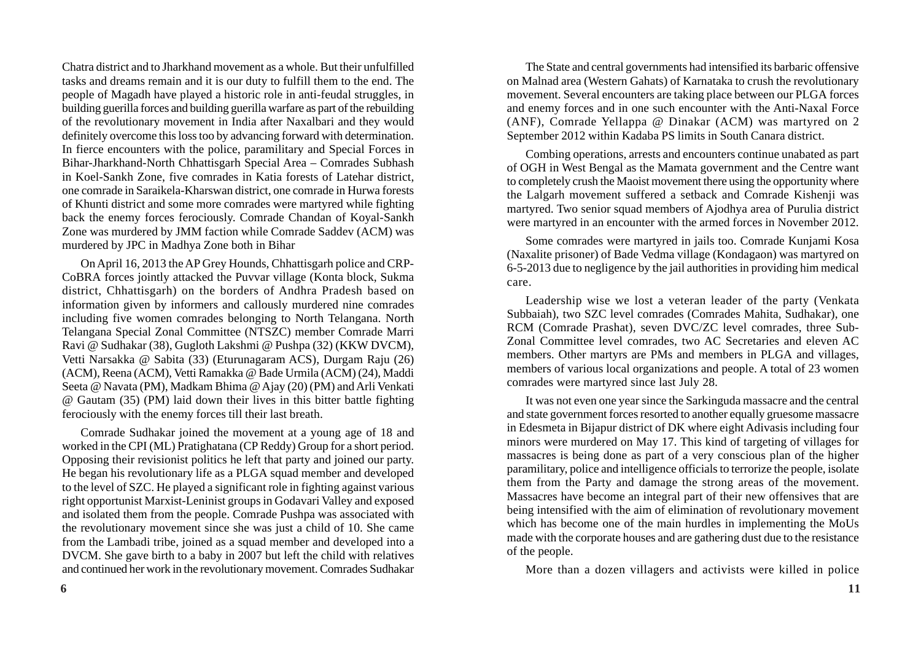Chatra district and to Jharkhand movement as a whole. But their unfulfilled tasks and dreams remain and it is our duty to fulfill them to the end. The people of Magadh have played a historic role in anti-feudal struggles, in building guerilla forces and building guerilla warfare as part of the rebuilding of the revolutionary movement in India after Naxalbari and they would definitely overcome this loss too by advancing forward with determination. In fierce encounters with the police, paramilitary and Special Forces in Bihar-Jharkhand-North Chhattisgarh Special Area – Comrades Subhash in Koel-Sankh Zone, five comrades in Katia forests of Latehar district, one comrade in Saraikela-Kharswan district, one comrade in Hurwa forests of Khunti district and some more comrades were martyred while fighting back the enemy forces ferociously. Comrade Chandan of Koyal-Sankh Zone was murdered by JMM faction while Comrade Saddev (ACM) was murdered by JPC in Madhya Zone both in Bihar

On April 16, 2013 the AP Grey Hounds, Chhattisgarh police and CRP-CoBRA forces jointly attacked the Puvvar village (Konta block, Sukma district, Chhattisgarh) on the borders of Andhra Pradesh based on information given by informers and callously murdered nine comrades including five women comrades belonging to North Telangana. North Telangana Special Zonal Committee (NTSZC) member Comrade Marri Ravi @ Sudhakar (38), Gugloth Lakshmi @ Pushpa (32) (KKW DVCM), Vetti Narsakka @ Sabita (33) (Eturunagaram ACS), Durgam Raju (26) (ACM), Reena (ACM), Vetti Ramakka @ Bade Urmila (ACM) (24), Maddi Seeta @ Navata (PM), Madkam Bhima @ Ajay (20) (PM) and Arli Venkati @ Gautam (35) (PM) laid down their lives in this bitter battle fighting ferociously with the enemy forces till their last breath.

Comrade Sudhakar joined the movement at a young age of 18 and worked in the CPI (ML) Pratighatana (CP Reddy) Group for a short period. Opposing their revisionist politics he left that party and joined our party. He began his revolutionary life as a PLGA squad member and developed to the level of SZC. He played a significant role in fighting against various right opportunist Marxist-Leninist groups in Godavari Valley and exposed and isolated them from the people. Comrade Pushpa was associated with the revolutionary movement since she was just a child of 10. She came from the Lambadi tribe, joined as a squad member and developed into a DVCM. She gave birth to a baby in 2007 but left the child with relatives and continued her work in the revolutionary movement. Comrades Sudhakar

The State and central governments had intensified its barbaric offensive on Malnad area (Western Gahats) of Karnataka to crush the revolutionary movement. Several encounters are taking place between our PLGA forces and enemy forces and in one such encounter with the Anti-Naxal Force (ANF), Comrade Yellappa @ Dinakar (ACM) was martyred on 2 September 2012 within Kadaba PS limits in South Canara district.

Combing operations, arrests and encounters continue unabated as part of OGH in West Bengal as the Mamata government and the Centre want to completely crush the Maoist movement there using the opportunity where the Lalgarh movement suffered a setback and Comrade Kishenji was martyred. Two senior squad members of Ajodhya area of Purulia district were martyred in an encounter with the armed forces in November 2012.

Some comrades were martyred in jails too. Comrade Kunjami Kosa (Naxalite prisoner) of Bade Vedma village (Kondagaon) was martyred on 6-5-2013 due to negligence by the jail authorities in providing him medical care.

Leadership wise we lost a veteran leader of the party (Venkata Subbaiah), two SZC level comrades (Comrades Mahita, Sudhakar), one RCM (Comrade Prashat), seven DVC/ZC level comrades, three Sub-Zonal Committee level comrades, two AC Secretaries and eleven AC members. Other martyrs are PMs and members in PLGA and villages, members of various local organizations and people. A total of 23 women comrades were martyred since last July 28.

It was not even one year since the Sarkinguda massacre and the central and state government forces resorted to another equally gruesome massacre in Edesmeta in Bijapur district of DK where eight Adivasis including four minors were murdered on May 17. This kind of targeting of villages for massacres is being done as part of a very conscious plan of the higher paramilitary, police and intelligence officials to terrorize the people, isolate them from the Party and damage the strong areas of the movement. Massacres have become an integral part of their new offensives that are being intensified with the aim of elimination of revolutionary movement which has become one of the main hurdles in implementing the MoUs made with the corporate houses and are gathering dust due to the resistance of the people.

More than a dozen villagers and activists were killed in police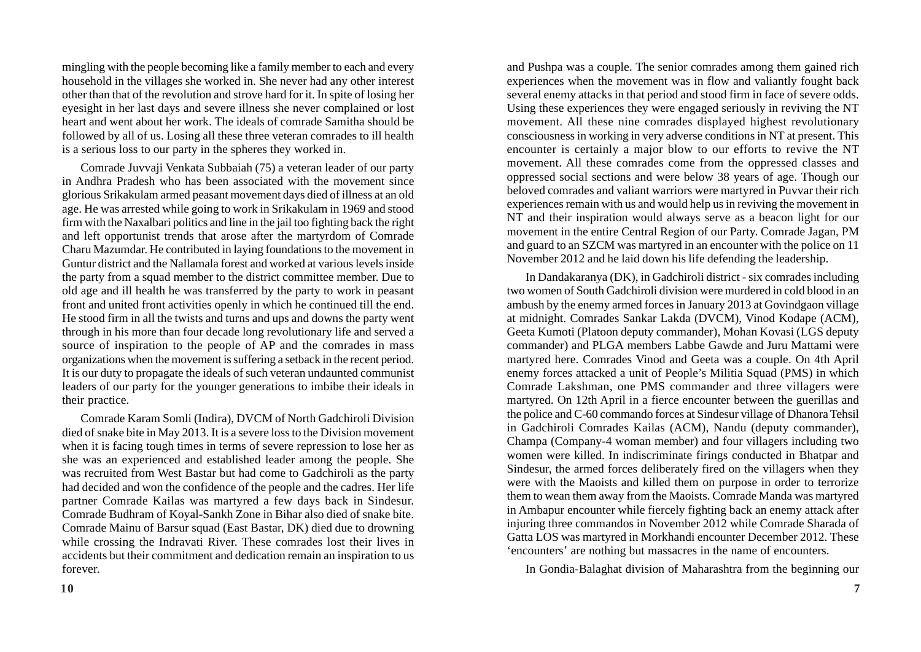mingling with the people becoming like a family member to each and every household in the villages she worked in. She never had any other interest other than that of the revolution and strove hard for it. In spite of losing her eyesight in her last days and severe illness she never complained or lost heart and went about her work. The ideals of comrade Samitha should be followed by all of us. Losing all these three veteran comrades to ill health is a serious loss to our party in the spheres they worked in.

Comrade Juvvaji Venkata Subbaiah (75) a veteran leader of our party in Andhra Pradesh who has been associated with the movement since glorious Srikakulam armed peasant movement days died of illness at an old age. He was arrested while going to work in Srikakulam in 1969 and stood firm with the Naxalbari politics and line in the jail too fighting back the right and left opportunist trends that arose after the martyrdom of Comrade Charu Mazumdar. He contributed in laying foundations to the movement in Guntur district and the Nallamala forest and worked at various levels inside the party from a squad member to the district committee member. Due to old age and ill health he was transferred by the party to work in peasant front and united front activities openly in which he continued till the end. He stood firm in all the twists and turns and ups and downs the party went through in his more than four decade long revolutionary life and served a source of inspiration to the people of AP and the comrades in mass organizations when the movement is suffering a setback in the recent period. It is our duty to propagate the ideals of such veteran undaunted communist leaders of our party for the younger generations to imbibe their ideals in their practice.

Comrade Karam Somli (Indira), DVCM of North Gadchiroli Division died of snake bite in May 2013. It is a severe loss to the Division movement when it is facing tough times in terms of severe repression to lose her as she was an experienced and established leader among the people. She was recruited from West Bastar but had come to Gadchiroli as the party had decided and won the confidence of the people and the cadres. Her life partner Comrade Kailas was martyred a few days back in Sindesur. Comrade Budhram of Koyal-Sankh Zone in Bihar also died of snake bite. Comrade Mainu of Barsur squad (East Bastar, DK) died due to drowning while crossing the Indravati River. These comrades lost their lives in accidents but their commitment and dedication remain an inspiration to us forever.

and Pushpa was a couple. The senior comrades among them gained rich experiences when the movement was in flow and valiantly fought back several enemy attacks in that period and stood firm in face of severe odds. Using these experiences they were engaged seriously in reviving the NT movement. All these nine comrades displayed highest revolutionary consciousness in working in very adverse conditions in NT at present. This encounter is certainly a major blow to our efforts to revive the NT movement. All these comrades come from the oppressed classes and oppressed social sections and were below 38 years of age. Though our beloved comrades and valiant warriors were martyred in Puvvar their rich experiences remain with us and would help us in reviving the movement in NT and their inspiration would always serve as a beacon light for our movement in the entire Central Region of our Party. Comrade Jagan, PM and guard to an SZCM was martyred in an encounter with the police on 11 November 2012 and he laid down his life defending the leadership.

In Dandakaranya (DK), in Gadchiroli district - six comrades including two women of South Gadchiroli division were murdered in cold blood in an ambush by the enemy armed forces in January 2013 at Govindgaon village at midnight. Comrades Sankar Lakda (DVCM), Vinod Kodape (ACM), Geeta Kumoti (Platoon deputy commander), Mohan Kovasi (LGS deputy commander) and PLGA members Labbe Gawde and Juru Mattami were martyred here. Comrades Vinod and Geeta was a couple. On 4th April enemy forces attacked a unit of People's Militia Squad (PMS) in which Comrade Lakshman, one PMS commander and three villagers were martyred. On 12th April in a fierce encounter between the guerillas and the police and C-60 commando forces at Sindesur village of Dhanora Tehsil in Gadchiroli Comrades Kailas (ACM), Nandu (deputy commander), Champa (Company-4 woman member) and four villagers including two women were killed. In indiscriminate firings conducted in Bhatpar and Sindesur, the armed forces deliberately fired on the villagers when they were with the Maoists and killed them on purpose in order to terrorize them to wean them away from the Maoists. Comrade Manda was martyred in Ambapur encounter while fiercely fighting back an enemy attack after injuring three commandos in November 2012 while Comrade Sharada of Gatta LOS was martyred in Morkhandi encounter December 2012. These 'encounters' are nothing but massacres in the name of encounters.

In Gondia-Balaghat division of Maharashtra from the beginning our